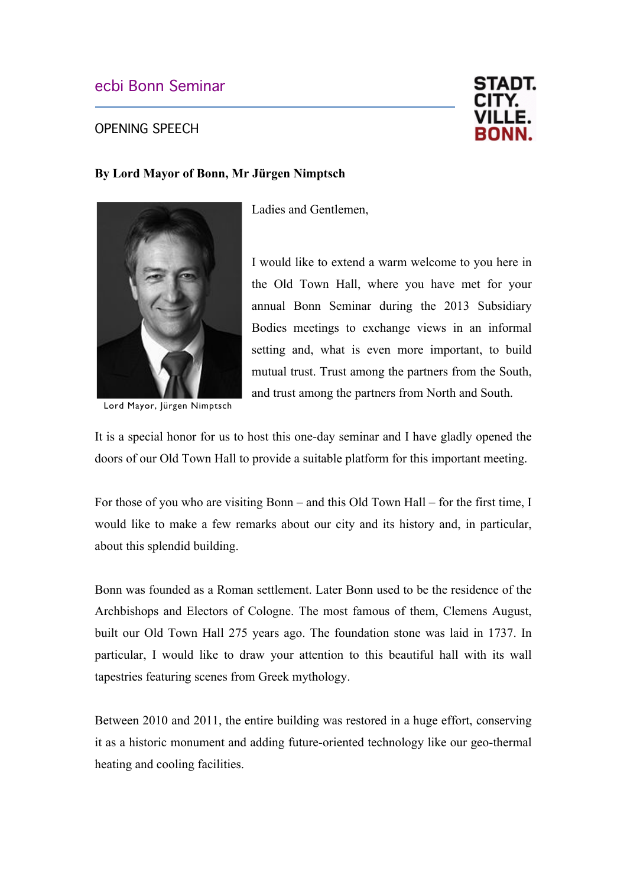## ecbi Bonn Seminar

## OPENING SPEECH



## **By Lord Mayor of Bonn, Mr Jürgen Nimptsch**



Lord Mayor, Jürgen Nimptsch

Ladies and Gentlemen,

I would like to extend a warm welcome to you here in the Old Town Hall, where you have met for your annual Bonn Seminar during the 2013 Subsidiary Bodies meetings to exchange views in an informal setting and, what is even more important, to build mutual trust. Trust among the partners from the South, and trust among the partners from North and South.

It is a special honor for us to host this one-day seminar and I have gladly opened the doors of our Old Town Hall to provide a suitable platform for this important meeting.

For those of you who are visiting Bonn – and this Old Town Hall – for the first time, I would like to make a few remarks about our city and its history and, in particular, about this splendid building.

Bonn was founded as a Roman settlement. Later Bonn used to be the residence of the Archbishops and Electors of Cologne. The most famous of them, Clemens August, built our Old Town Hall 275 years ago. The foundation stone was laid in 1737. In particular, I would like to draw your attention to this beautiful hall with its wall tapestries featuring scenes from Greek mythology.

Between 2010 and 2011, the entire building was restored in a huge effort, conserving it as a historic monument and adding future-oriented technology like our geo-thermal heating and cooling facilities.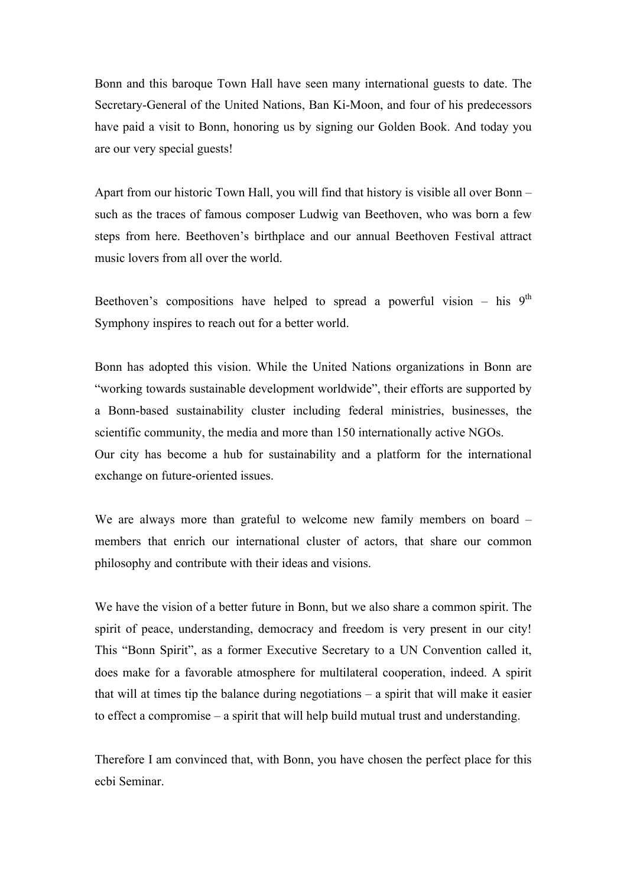Bonn and this baroque Town Hall have seen many international guests to date. The Secretary-General of the United Nations, Ban Ki-Moon, and four of his predecessors have paid a visit to Bonn, honoring us by signing our Golden Book. And today you are our very special guests!

Apart from our historic Town Hall, you will find that history is visible all over Bonn – such as the traces of famous composer Ludwig van Beethoven, who was born a few steps from here. Beethoven's birthplace and our annual Beethoven Festival attract music lovers from all over the world.

Beethoven's compositions have helped to spread a powerful vision – his  $9<sup>th</sup>$ Symphony inspires to reach out for a better world.

Bonn has adopted this vision. While the United Nations organizations in Bonn are "working towards sustainable development worldwide", their efforts are supported by a Bonn-based sustainability cluster including federal ministries, businesses, the scientific community, the media and more than 150 internationally active NGOs. Our city has become a hub for sustainability and a platform for the international exchange on future-oriented issues.

We are always more than grateful to welcome new family members on board – members that enrich our international cluster of actors, that share our common philosophy and contribute with their ideas and visions.

We have the vision of a better future in Bonn, but we also share a common spirit. The spirit of peace, understanding, democracy and freedom is very present in our city! This "Bonn Spirit", as a former Executive Secretary to a UN Convention called it, does make for a favorable atmosphere for multilateral cooperation, indeed. A spirit that will at times tip the balance during negotiations – a spirit that will make it easier to effect a compromise – a spirit that will help build mutual trust and understanding.

Therefore I am convinced that, with Bonn, you have chosen the perfect place for this ecbi Seminar.